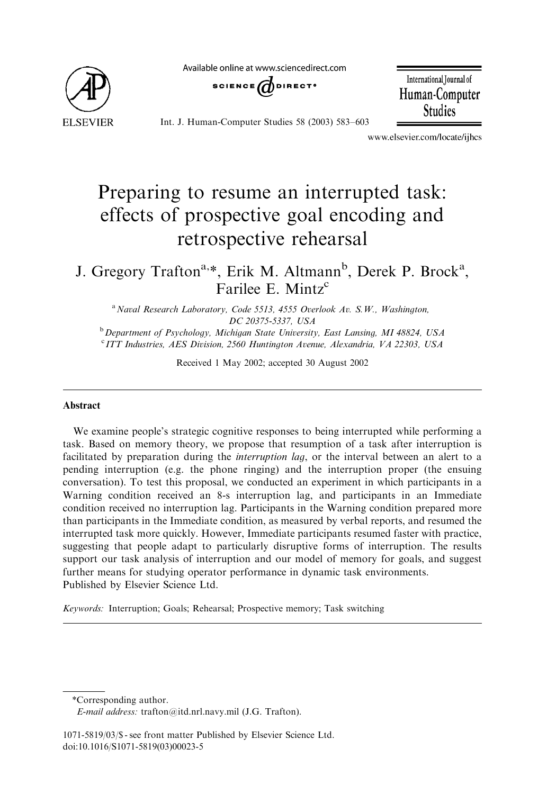

Available online at www.sciencedirect.com



International Iournal of Human-Computer **Studies** 

Int. J. Human-Computer Studies 58 (2003) 583–603

www.elsevier.com/locate/ijhcs

# Preparing to resume an interrupted task: effects of prospective goal encoding and retrospective rehearsal

## J. Gregory Trafton<sup>a,\*</sup>, Erik M. Altmann<sup>b</sup>, Derek P. Brock<sup>a</sup>, Farilee E. Mintz<sup>c</sup>

 $a$  Naval Research Laboratory, Code 5513, 4555 Overlook Av. S.W., Washington, DC 20375-5337, USA

<sup>b</sup> Department of Psychology, Michigan State University, East Lansing, MI 48824, USA <sup>c</sup> ITT Industries, AES Division, 2560 Huntington Avenue, Alexandria, VA 22303, USA

Received 1 May 2002; accepted 30 August 2002

#### Abstract

We examine people's strategic cognitive responses to being interrupted while performing a task. Based on memory theory, we propose that resumption of a task after interruption is facilitated by preparation during the *interruption lag*, or the interval between an alert to a pending interruption (e.g. the phone ringing) and the interruption proper (the ensuing conversation). To test this proposal, we conducted an experiment in which participants in a Warning condition received an 8-s interruption lag, and participants in an Immediate condition received no interruption lag. Participants in the Warning condition prepared more than participants in the Immediate condition, as measured by verbal reports, and resumed the interrupted task more quickly. However, Immediate participants resumed faster with practice, suggesting that people adapt to particularly disruptive forms of interruption. The results support our task analysis of interruption and our model of memory for goals, and suggest further means for studying operator performance in dynamic task environments. Published by Elsevier Science Ltd.

Keywords: Interruption; Goals; Rehearsal; Prospective memory; Task switching

\*Corresponding author.

E-mail address: trafton@itd.nrl.navy.mil (J.G. Trafton).

<sup>1071-5819/03/\$ -</sup> see front matter Published by Elsevier Science Ltd. doi:10.1016/S1071-5819(03)00023-5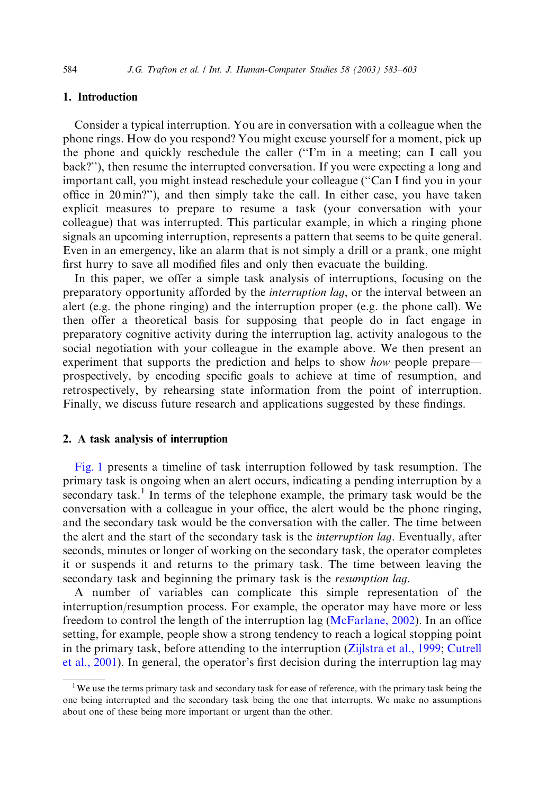#### 1. Introduction

Consider a typical interruption. You are in conversation with a colleague when the phone rings. How do you respond? You might excuse yourself for a moment, pick up the phone and quickly reschedule the caller (''I'm in a meeting; can I call you back?''), then resume the interrupted conversation. If you were expecting a long and important call, you might instead reschedule your colleague (''Can I find you in your office in 20 min?''), and then simply take the call. In either case, you have taken explicit measures to prepare to resume a task (your conversation with your colleague) that was interrupted. This particular example, in which a ringing phone signals an upcoming interruption, represents a pattern that seems to be quite general. Even in an emergency, like an alarm that is not simply a drill or a prank, one might first hurry to save all modified files and only then evacuate the building.

In this paper, we offer a simple task analysis of interruptions, focusing on the preparatory opportunity afforded by the interruption lag, or the interval between an alert (e.g. the phone ringing) and the interruption proper (e.g. the phone call). We then offer a theoretical basis for supposing that people do in fact engage in preparatory cognitive activity during the interruption lag, activity analogous to the social negotiation with your colleague in the example above. We then present an experiment that supports the prediction and helps to show *how* people prepare prospectively, by encoding specific goals to achieve at time of resumption, and retrospectively, by rehearsing state information from the point of interruption. Finally, we discuss future research and applications suggested by these findings.

### 2. [A tas](#page-2-0)k analysis of interruption

Fig. 1 presents a timeline of task interruption followed by task resumption. The primary task is ongoing when an alert occurs, indicating a pending interruption by a secondary task.<sup>1</sup> In terms of the telephone example, the primary task would be the conversation with a colleague in your office, the alert would be the phone ringing, and the secondary task would be the conversation with the caller. The time between the alert and the start of the secondary task is the interruption lag. Eventually, after seconds, minutes or longer of working on the secondary task, the operator completes it or suspends it and returns to the primary task. The time between leaving the secondary task and beginning the primary task is the *resumption lag*.

A number of variables can complicate this [simple representa](#page-19-0)tion of the interruption/resumption process. For example, the operator may have more or less freedom to control the length of the interruption lag (Mc[Farlane, 2002\). In a](#page-20-0)[n office](#page-19-0) [setting, for](#page-19-0) example, people show a strong tendency to reach a logical stopping point in the primary task, before attending to the interruption (Zijlstra et al., 1999; Cutrell et al., 2001). In general, the operator's first decision during the interruption lag may

<sup>&</sup>lt;sup>1</sup>We use the terms primary task and secondary task for ease of reference, with the primary task being the one being interrupted and the secondary task being the one that interrupts. We make no assumptions about one of these being more important or urgent than the other.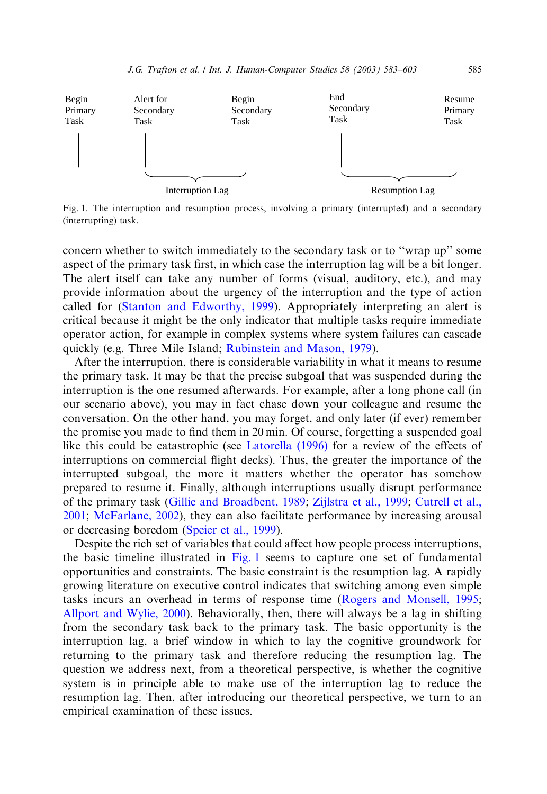<span id="page-2-0"></span>

Fig. 1. The interruption and resumption process, involving a primary (interrupted) and a secondary (interrupting) task.

concern whether to switch immediately to the secondary task or to ''wrap up'' some aspect of the primary task first, in which case the interruption lag will be a bit longer. The alert i[tself can take any number of](#page-20-0) forms (visual, auditory, etc.), and may provide information about the urgency of the interruption and the type of action called for (Stanton and Edworthy, 1999). Appropriately interpreting an alert is critical because it might be the [only indicator that multiple ta](#page-20-0)sks require immediate operator action, for example in complex systems where system failures can cascade quickly (e.g. Three Mile Island; Rubinstein and Mason, 1979).

After the interruption, there is considerable variability in what it means to resume the primary task. It may be that the precise subgoal that was suspended during the interruption is the one resumed afterwards. For example, after a long phone call (in our scenario above), you may in fact chase down your colleague and resume the conversation. On the other hand, yo[u may forget, and](#page-19-0) only later (if ever) remember the promise you made to find them in 20 min. Of course, forgetting a suspended goal like this could be catastrophic (see Latorella (1996) for a review of the effects of interruptions on commercial flight decks). Thus, the greater the importance of the interrupted subgoal, [the more it matters whe](#page-19-0)[ther the operator](#page-20-0) [has somehow](#page-19-0) [prepared to resume it.](#page-19-0) Finally, although interruptions usually disrupt performance of the primary task (Gil[lie and Broadbent,](#page-20-0) 1989; Zijlstra et al., 1999; Cutrell et al., 2001; McFarlane, 2002), they can also facilitate performance by increasing arousal or decreasing boredom (Speier et al., 1999).

Despite the rich set of variables that could affect how people process interruptions, the basic timeline illustrated in Fig. 1 seems to capture one set of fundamental opportunities and constraints. The basic constraint is t[he resumption lag. A rapidly](#page-19-0) [growing literature on exe](#page-18-0)cutive control indicates that switching among even simple tasks incurs an overhead in terms of response time (Rogers and Monsell, 1995; Allport and Wylie, 2000). Behaviorally, then, there will always be a lag in shifting from the secondary task back to the primary task. The basic opportunity is the interruption lag, a brief window in which to lay the cognitive groundwork for returning to the primary task and therefore reducing the resumption lag. The question we address next, from a theoretical perspective, is whether the cognitive system is in principle able to make use of the interruption lag to reduce the resumption lag. Then, after introducing our theoretical perspective, we turn to an empirical examination of these issues.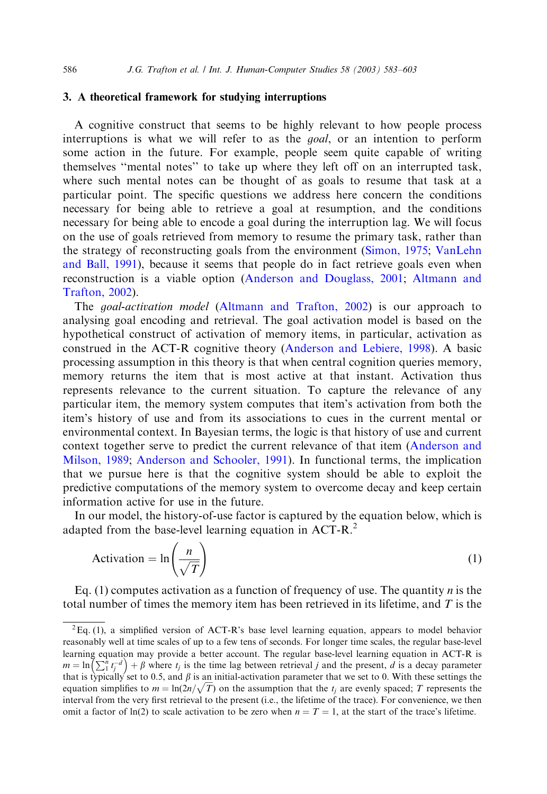#### 3. A theoretical framework for studying interruptions

A cognitive construct that seems to be highly relevant to how people process interruptions is what we will refer to as the *goal*, or an intention to perform some action in the future. For example, people seem quite capable of writing themselves ''mental notes'' to take up where they left off on an interrupted task, where such mental notes can be thought of as goals to resume that task at a particular point. The specific questions we address here concern the conditions necessary for being able to retrieve a goal at resumption, and the conditions necessary for being able to encode a goal during the interru[ption lag. We](#page-20-0) [will focus](#page-20-0) [on the use of g](#page-20-0)oals retrieved from memory to resume the primary task, rather than the strategy of reconstructing goals [from the environment \(Simon,](#page-19-0) 1975; [VanLehn](#page-19-0) [and Ball, 1991](#page-19-0)), because it seems that people do in fact retrieve goals even when reconstruction is a viable opt[ion \(Anderson and Douglass](#page-19-0), 2001; Altmann and Trafton, 2002).

The goal-activation model (Altmann and Trafton, 2002) is our approach to analysing goal encoding and retrieval. The [goal activation model is bas](#page-19-0)ed on the hypothetical construct of activation of memory items, in particular, activation as construed in the ACT-R cognitive theory (Anderson and Lebiere, 1998). A basic processing assumption in this theory is that when central cognition queries memory, memory returns the item that is most active at that instant. Activation thus represents relevance to the current situation. To capture the relevance of any particular item, the memory system computes that item's activation from both the item's history of use and from its associations to cues in the cur[rent mental or](#page-19-0) [environmenta](#page-19-0)l [context. In Bayesian terms, the](#page-19-0) logic is that history of use and current context together serve to predict the current relevance of that item (Anderson and Milson, 1989; Anderson and Schooler, 1991). In functional terms, the implication that we pursue here is that the cognitive system should be able to exploit the predictive computations of the memory system to overcome decay and keep certain information active for use in the future.

In our model, the history-of-use factor is captured by the equation below, which is adapted from the base-level learning equation in ACT-R.<sup>2</sup>

$$
Action = \ln\left(\frac{n}{\sqrt{T}}\right) \tag{1}
$$

Eq.  $(1)$  computes activation as a function of frequency of use. The quantity *n* is the total number of times the memory item has been retrieved in its lifetime, and T is the

 ${}^{2}$ Eq. (1), a simplified version of ACT-R's base level learning equation, appears to model behavior reasonably well at time scales of up to a few tens of seconds. For longer time scales, the regular base-level learning equation may provide a better account. The regular base-level learning equation in ACT-R is earning equation may provide a better account. The regular base-level learning equation in ACT-K is  $m = \ln\left(\sum_{i=1}^{n} t_i^{-d}\right) + \beta$  where  $t_j$  is the time lag between retrieval j and the present, d is a decay parameter that is typically set to 0.5, and  $\beta$  is an initial-activation parameter that we set to 0. With these settings the equation simplifies to  $m = \ln(2n/\sqrt{T})$  on the assumption that the  $t_i$  are evenly spaced; T represents the interval from the very first retrieval to the present (i.e., the lifetime of the trace). For convenience, we then omit a factor of ln(2) to scale activation to be zero when  $n = T = 1$ , at the start of the trace's lifetime.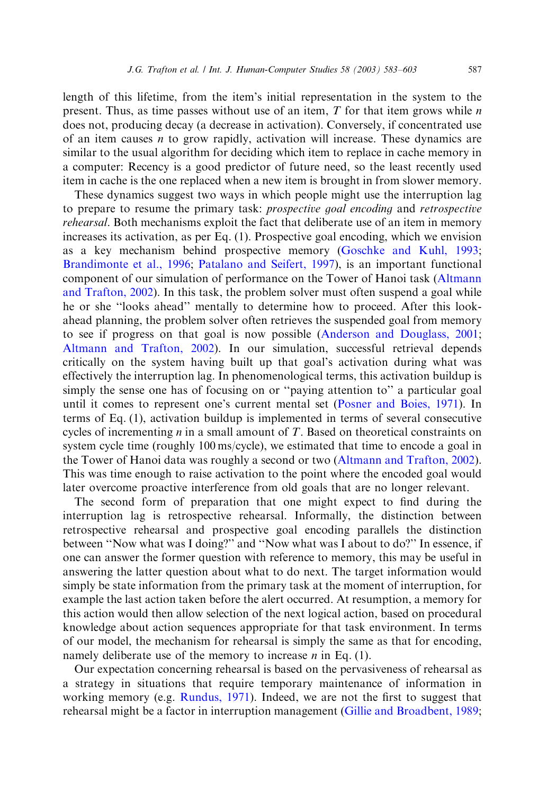length of this lifetime, from the item's initial representation in the system to the present. Thus, as time passes without use of an item,  $T$  for that item grows while  $n$ does not, producing decay (a decrease in activation). Conversely, if concentrated use of an item causes  $n$  to grow rapidly, activation will increase. These dynamics are similar to the usual algorithm for deciding which item to replace in cache memory in a computer:Recency is a good predictor of future need, so the least recently used item in cache is the one replaced when a new item is brought in from slower memory.

These dynamics suggest two ways in which people might use the interruption lag to prepare to resume the primary task: prospective goal encoding and retrospective rehearsal. Both mechanisms exploit the fact that deliber[ate use of an item in memory](#page-19-0) [increases its activation, as](#page-19-0) [per Eq. \(1\). Prospective goal](#page-19-0) encoding, which we envision as a key mechanism behind prospective memory (Goschke and Ku[hl, 1993;](#page-19-0) [Brandimonte et al](#page-19-0)., 1996; Patalano and Seifert, 1997), is an important functional component of our simulation of performance on the Tower of Hanoi task (Altmann and Trafton, 2002). In this task, the problem solver must often suspend a goal while he or she ''looks ahead'' mentally to determine h[ow to proceed. After this look](#page-19-0)[ahead planning, the problem so](#page-19-0)lver often retrieves the suspended goal from memory to see if progress on that goal is now possible (Anderson and Douglass, 2001; Altmann and Trafton, 2002). In our simulation, successful retrieval depends critically on the system having built up that goal's activation during what was effectively the interruption lag. In phenomenological te[rms, this activation buildu](#page-19-0)p is simply the sense one has of focusing on or ''paying attention to'' a particular goal until it comes to represent one's current mental set (Posner and Boies, 1971). In terms of Eq. (1), activation buildup is implemented in terms of several consecutive cycles of incrementing  $n$  in a small amount of  $T$ . Based [on theoretical constraints o](#page-19-0)n system cycle time (roughly 100 ms/cycle), we estimated that time to encode a goal in the Tower of Hanoi data was roughly a second or two (Altmann and Trafton, 2002). This was time enough to raise activation to the point where the encoded goal would later overcome proactive interference from old goals that are no longer relevant.

The second form of preparation that one might expect to find during the interruption lag is retrospective rehearsal. Informally, the distinction between retrospective rehearsal and prospective goal encoding parallels the distinction between ''Now what was I doing?'' and ''Now what was I about to do?'' In essence, if one can answer the former question with reference to memory, this may be useful in answering the latter question about what to do next. The target information would simply be state information from the primary task at the moment of interruption, for example the last action taken before the alert occurred. At resumption, a memory for this action would then allow selection of the next logical action, based on procedural knowledge about action sequences appropriate for that task environment. In terms of our model, the mechanism for rehearsal is simply the same as that for encoding, namely deliberate use of the memory to increase  $n$  in Eq. (1).

Our expectation con[cerning rehears](#page-20-0)al is based on the pervasiveness of rehearsal as a strategy in situations that require temporary main[tenance of information in](#page-19-0) working memory (e.g. Rundus, 1971). Indeed, we are not the first to suggest that rehearsal might be a factor in interruption management (Gillie and Broadbent, 1989;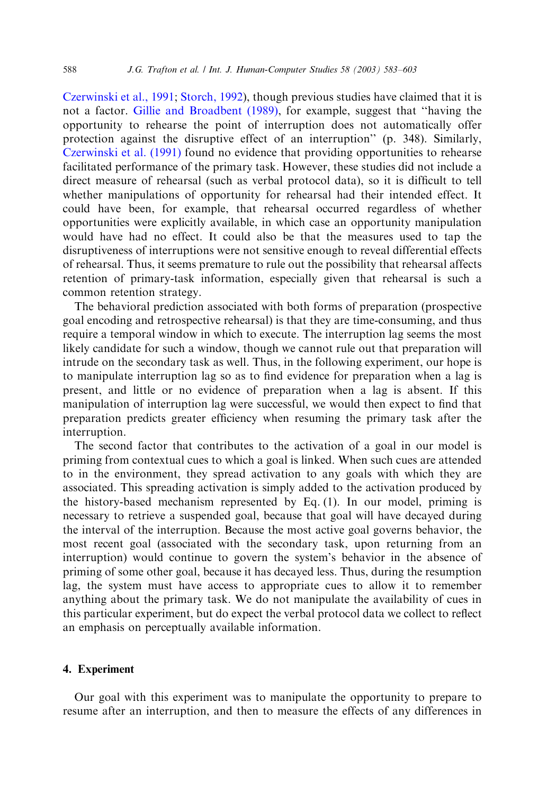Czerwinski et al., 1991; Storch, 1992), though previous studies have claimed that it is not a factor. Gillie and Broadbent (1989), for example, suggest that ''having the [opportunity to rehears](#page-19-0)e the point of interruption does not automatically offer protection against the disruptive effect of an interruption'' (p. 348). Similarly, Czerwinski et al. (1991) found no evidence that providing opportunities to rehearse facilitated performance of the primary task. However, these studies did not include a direct measure of rehearsal (such as verbal protocol data), so it is difficult to tell whether manipulations of opportunity for rehearsal had their intended effect. It could have been, for example, that rehearsal occurred regardless of whether opportunities were explicitly available, in which case an opportunity manipulation would have had no effect. It could also be that the measures used to tap the disruptiveness of interruptions were not sensitive enough to reveal differential effects of rehearsal. Thus, it seems premature to rule out the possibility that rehearsal affects retention of primary-task information, especially given that rehearsal is such a common retention strategy.

The behavioral prediction associated with both forms of preparation (prospective goal encoding and retrospective rehearsal) is that they are time-consuming, and thus require a temporal window in which to execute. The interruption lag seems the most likely candidate for such a window, though we cannot rule out that preparation will intrude on the secondary task as well. Thus, in the following experiment, our hope is to manipulate interruption lag so as to find evidence for preparation when a lag is present, and little or no evidence of preparation when a lag is absent. If this manipulation of interruption lag were successful, we would then expect to find that preparation predicts greater efficiency when resuming the primary task after the interruption.

The second factor that contributes to the activation of a goal in our model is priming from contextual cues to which a goal is linked. When such cues are attended to in the environment, they spread activation to any goals with which they are associated. This spreading activation is simply added to the activation produced by the history-based mechanism represented by Eq. (1). In our model, priming is necessary to retrieve a suspended goal, because that goal will have decayed during the interval of the interruption. Because the most active goal governs behavior, the most recent goal (associated with the secondary task, upon returning from an interruption) would continue to govern the system's behavior in the absence of priming of some other goal, because it has decayed less. Thus, during the resumption lag, the system must have access to appropriate cues to allow it to remember anything about the primary task. We do not manipulate the availability of cues in this particular experiment, but do expect the verbal protocol data we collect to reflect an emphasis on perceptually available information.

#### 4. Experiment

Our goal with this experiment was to manipulate the opportunity to prepare to resume after an interruption, and then to measure the effects of any differences in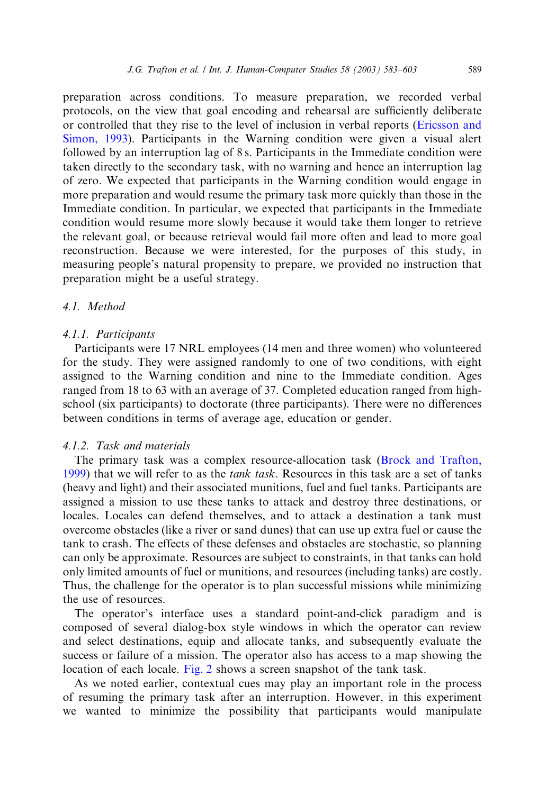preparation across conditions. To measure preparation, we rec[orded verbal](#page-19-0) [protocols, on](#page-19-0) the view that goal encoding and rehearsal are sufficiently deliberate or controlled that they rise to the level of inclusion in verbal reports (Ericsson and Simon, 1993). Participants in the Warning condition were given a visual alert followed by an interruption lag of 8 s. Participants in the Immediate condition were taken directly to the secondary task, with no warning and hence an interruption lag of zero. We expected that participants in the Warning condition would engage in more preparation and would resume the primary task more quickly than those in the Immediate condition. In particular, we expected that participants in the Immediate condition would resume more slowly because it would take them longer to retrieve the relevant goal, or because retrieval would fail more often and lead to more goal reconstruction. Because we were interested, for the purposes of this study, in measuring people's natural propensity to prepare, we provided no instruction that preparation might be a useful strategy.

### 4.1. Method

#### 4.1.1. Participants

Participants were 17 NRL employees (14 men and three women) who volunteered for the study. They were assigned randomly to one of two conditions, with eight assigned to the Warning condition and nine to the Immediate condition. Ages ranged from 18 to 63 with an average of 37. Completed education ranged from highschool (six participants) to doctorate (three participants). There were no differences between conditions in terms of average age, education or gender.

#### [4.1.2](#page-19-0). Task and materials

The primary task was a complex resource-allocation task (Brock and Trafton, 1999) that we will refer to as the *tank task*. Resources in this task are a set of tanks (heavy and light) and their associated munitions, fuel and fuel tanks. Participants are assigned a mission to use these tanks to attack and destroy three destinations, or locales. Locales can defend themselves, and to attack a destination a tank must overcome obstacles (like a river or sand dunes) that can use up extra fuel or cause the tank to crash. The effects of these defenses and obstacles are stochastic, so planning can only be approximate. Resources are subject to constraints, in that tanks can hold only limited amounts of fuel or munitions, and resources (including tanks) are costly. Thus, the challenge for the operator is to plan successful missions while minimizing the use of resources.

The operator's interface uses a standard point-and-click paradigm and is composed of several dialog-box style windows in which the operator can review and select destinations, [equip](#page-7-0) and allocate tanks, and subsequently evaluate the success or failure of a mission. The operator also has access to a map showing the location of each locale. Fig. 2 shows a screen snapshot of the tank task.

As we noted earlier, contextual cues may play an important role in the process of resuming the primary task after an interruption. However, in this experiment we wanted to minimize the possibility that participants would manipulate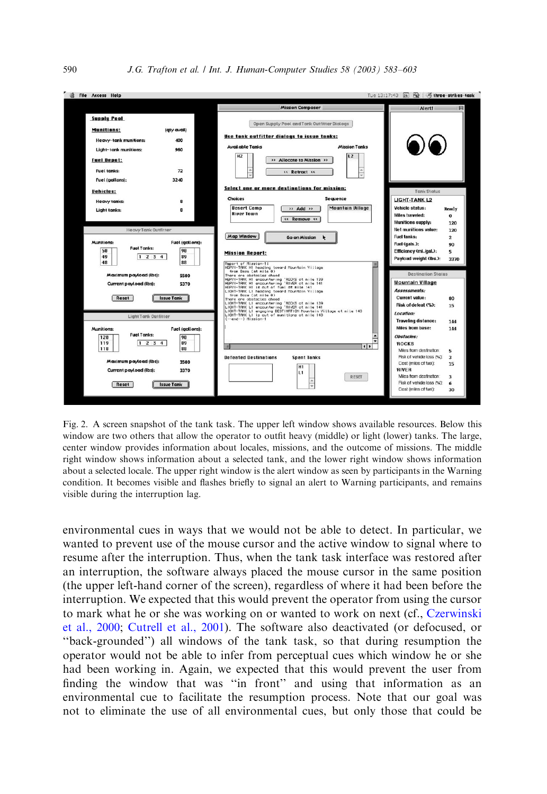

Fig. 2. A screen snapshot of the tank task. The upper left window shows available resources. Below this window are two others that allow the operator to outfit heavy (middle) or light (lower) tanks. The large, center window provides information about locales, missions, and the outcome of missions. The middle right window shows information about a selected tank, and the lower right window shows information about a selected locale. The upper right window is the alert window as seen by participants in the Warning condition. It becomes visible and flashes briefly to signal an alert to Warning participants, and remains visible during the interruption lag.

environmental cues in ways that we would not be able to detect. In particular, we wanted to prevent use of the mouse cursor and the active window to signal where to resume after the interruption. Thus, when the tank task interface was restored after an interruption, the software always placed the mouse cursor in the same position (the upper left-hand corner of the screen), regardless of where it had bee[n before the](#page-19-0) [interruption](#page-19-0). [We expected that th](#page-19-0)is would prevent the operator from using the cursor to mark what he or she was working on or wanted to work on next (cf., Czerwinski et al., 2000; Cutrell et al., 2001). The software also deactivated (or defocused, or ''back-grounded'') all windows of the tank task, so that during resumption the operator would not be able to infer from perceptual cues which window he or she had been working in. Again, we expected that this would prevent the user from finding the window that was ''in front'' and using that information as an environmental cue to facilitate the resumption process. Note that our goal was not to eliminate the use of all environmental cues, but only those that could be

<span id="page-7-0"></span>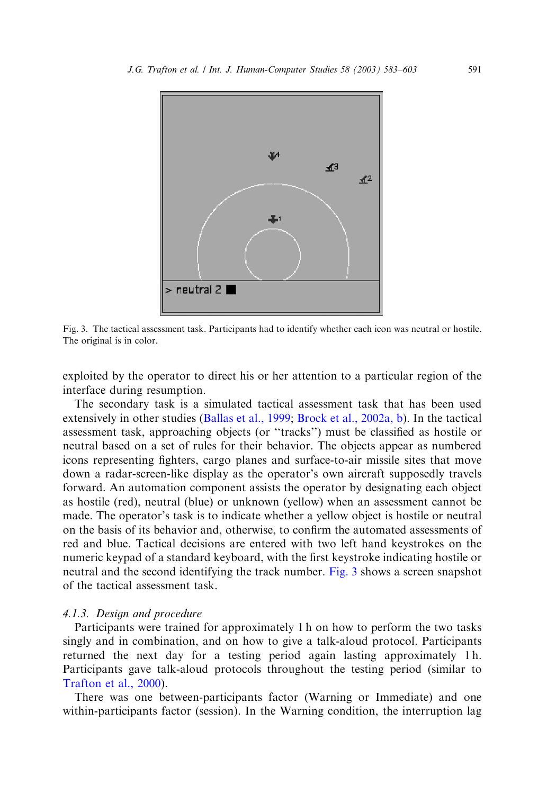

Fig. 3. The tactical assessment task. Participants had to identify whether each icon was neutral or hostile. The original is in color.

exploited by the operator to direct his or her attention to a particular region of the interface during resumption[.](#page-19-0)

The secondary task is a simulated tactical assessment task that has been used extensively in other studies (Ballas et al., 1999; Brock et al., 2002a, b). In the tactical assessment task, approaching objects (or ''tracks'') must be classified as hostile or neutral based on a set of rules for their behavior. The objects appear as numbered icons representing fighters, cargo planes and surface-to-air missile sites that move down a radar-screen-like display as the operator's own aircraft supposedly travels forward. An automation component assists the operator by designating each object as hostile (red), neutral (blue) or unknown (yellow) when an assessment cannot be made. The operator's task is to indicate whether a yellow object is hostile or neutral on the basis of its behavior and, otherwise, to confirm the automated assessments of red and blue. Tactical decisions are entered with two left hand keystrokes on the numeric keypad of a standard keyboard, with the first keystroke indicating hostile or neutral and the second identifying the track number. Fig. 3 shows a screen snapshot of the tactical assessment task.

#### 4.1.3. Design and procedure

Participants were trained for approximately 1 h on how to perform the two tasks singly and in combination, and on how to give a talk-aloud protocol. Participants [returned the next](#page-20-0) day for a testing period again lasting approximately 1 h. Participants gave talk-aloud protocols throughout the testing period (similar to Trafton et al., 2000).

There was one between-participants factor (Warning or Immediate) and one within-participants factor (session). In the Warning condition, the interruption lag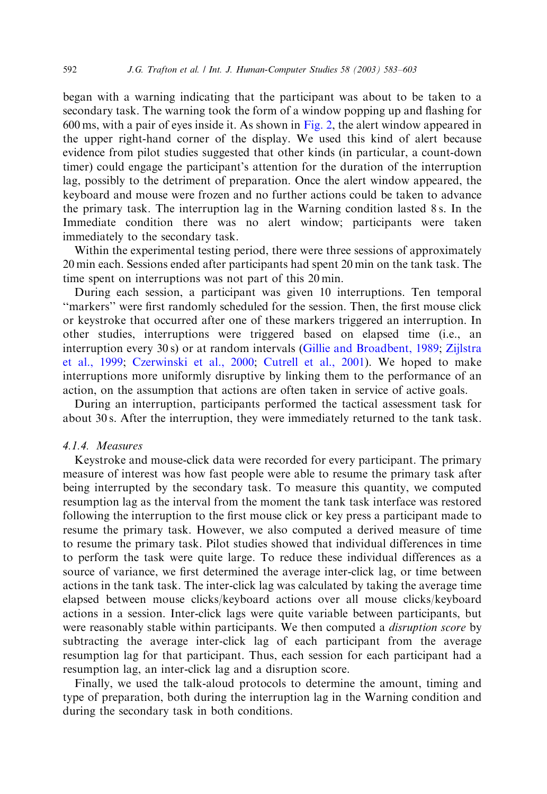began with a warning indicating that the parti[cipant](#page-7-0) was about to be taken to a secondary task. The warning took the form of a window popping up and flashing for 600 ms, with a pair of eyes inside it. As shown in Fig. 2, the alert window appeared in the upper right-hand corner of the display. We used this kind of alert because evidence from pilot studies suggested that other kinds (in particular, a count-down timer) could engage the participant's attention for the duration of the interruption lag, possibly to the detriment of preparation. Once the alert window appeared, the keyboard and mouse were frozen and no further actions could be taken to advance the primary task. The interruption lag in the Warning condition lasted 8 s. In the Immediate condition there was no alert window; participants were taken immediately to the secondary task.

Within the experimental testing period, there were three sessions of approximately 20 min each. Sessions ended after participants had spent 20 min on the tank task. The time spent on interruptions was not part of this 20 min.

During each session, a participant was given 10 interruptions. Ten temporal ''markers'' were first randomly scheduled for the session. Then, the first mouse click or keystroke that occurred after one of these [markers triggered an interrup](#page-19-0)[tion. In](#page-20-0) [other studie](#page-20-0)[s, interruptions were tr](#page-19-0)i[ggered based on e](#page-19-0)lapsed time (i.e., an interruption every 30 s) or at random intervals (Gillie and Broadbent, 1989; Zijlstra et al., 1999; Czerwinski et al., 2000; Cutrell et al., 2001). We hoped to make interruptions more uniformly disruptive by linking them to the performance of an action, on the assumption that actions are often taken in service of active goals.

During an interruption, participants performed the tactical assessment task for about 30 s. After the interruption, they were immediately returned to the tank task.

#### 4.1.4. Measures

Keystroke and mouse-click data were recorded for every participant. The primary measure of interest was how fast people were able to resume the primary task after being interrupted by the secondary task. To measure this quantity, we computed resumption lag as the interval from the moment the tank task interface was restored following the interruption to the first mouse click or key press a participant made to resume the primary task. However, we also computed a derived measure of time to resume the primary task. Pilot studies showed that individual differences in time to perform the task were quite large. To reduce these individual differences as a source of variance, we first determined the average inter-click lag, or time between actions in the tank task. The inter-click lag was calculated by taking the average time elapsed between mouse clicks/keyboard actions over all mouse clicks/keyboard actions in a session. Inter-click lags were quite variable between participants, but were reasonably stable within participants. We then computed a disruption score by subtracting the average inter-click lag of each participant from the average resumption lag for that participant. Thus, each session for each participant had a resumption lag, an inter-click lag and a disruption score.

Finally, we used the talk-aloud protocols to determine the amount, timing and type of preparation, both during the interruption lag in the Warning condition and during the secondary task in both conditions.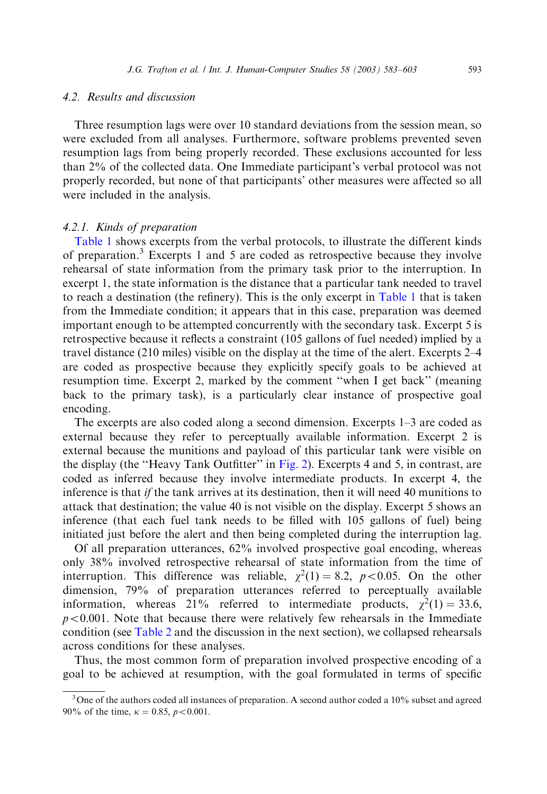#### 4.2. Results and discussion

Three resumption lags were over 10 standard deviations from the session mean, so were excluded from all analyses. Furthermore, software problems prevented seven resumption lags from being properly recorded. These exclusions accounted for less than 2% of the collected data. One Immediate participant's verbal protocol was not properly recorded, but none of that participants' other measures were affected so all were included in the analysis.

#### 4.2.1. Kinds of preparation

Table 1 shows excerpts from the verbal protocols, to illustrate the different kinds of preparation.3 Excerpts 1 and 5 are coded as retrospective because they involve rehearsal of state information from the primary task prior to [the int](#page-11-0)erruption. In excerpt 1, the state information is the distance that a particular tank needed to travel to reach a destination (the refinery). This is the only excerpt in Table 1 that is taken from the Immediate condition; it appears that in this case, preparation was deemed important enough to be attempted concurrently with the secondary task. Excerpt 5 is retrospective because it reflects a constraint (105 gallons of fuel needed) implied by a travel distance (210 miles) visible on the display at the time of the alert. Excerpts 2–4 are coded as prospective because they explicitly specify goals to be achieved at resumption time. Excerpt 2, marked by the comment ''when I get back'' (meaning back to the primary task), is a particularly clear instance of prospective goal encoding.

The excerpts are also coded along a second dimension. Excerpts 1–3 are coded as external because they refer to perceptua[lly av](#page-7-0)ailable information. Excerpt 2 is external because the munitions and payload of this particular tank were visible on the display (the "Heavy Tank Outfitter" in Fig. 2). Excerpts 4 and 5, in contrast, are coded as inferred because they involve intermediate products. In excerpt 4, the inference is that *if* the tank arrives at its destination, then it will need 40 munitions to attack that destination; the value 40 is not visible on the display. Excerpt 5 shows an inference (that each fuel tank needs to be filled with 105 gallons of fuel) being initiated just before the alert and then being completed during the interruption lag.

Of all preparation utterances, 62% involved prospective goal encoding, whereas only 38% involved retrospective rehearsal of state information from the time of interruption. This difference was reliable,  $\chi^2(1) = 8.2$ ,  $p < 0.05$ . On the other dimension, 79% of preparation utterances referred to perceptually available information, [whereas](#page-11-0) 21% referred to intermediate products,  $\chi^2(1) = 33.6$ ,  $p<0.001$ . Note that because there were relatively few rehearsals in the Immediate condition (see Table 2 and the discussion in the next section), we collapsed rehearsals across conditions for these analyses.

Thus, the most common form of preparation involved prospective encoding of a goal to be achieved at resumption, with the goal formulated in terms of specific

<sup>&</sup>lt;sup>3</sup>One of the authors coded all instances of preparation. A second author coded a 10% subset and agreed 90% of the time,  $\kappa = 0.85$ ,  $p < 0.001$ .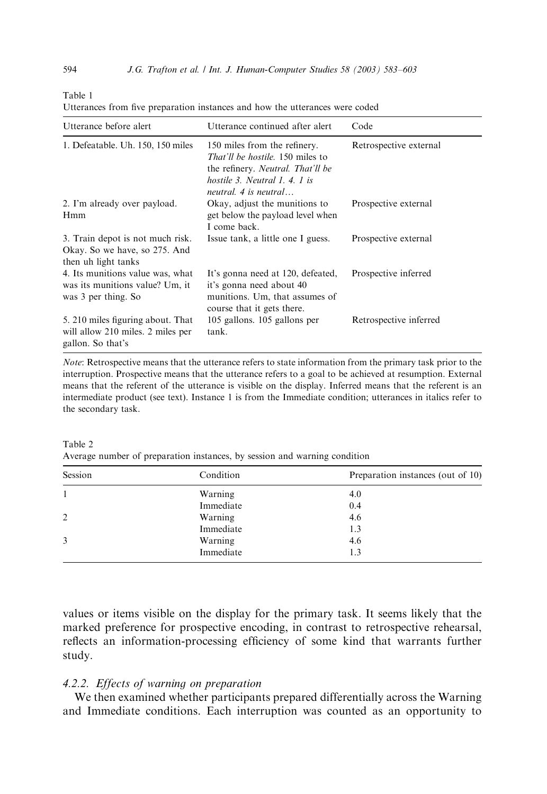| Utterance before alert                                                                      | Utterance continued after alert                                                                                                                                        | Code                   |
|---------------------------------------------------------------------------------------------|------------------------------------------------------------------------------------------------------------------------------------------------------------------------|------------------------|
| 1. Defeatable. Uh. 150, 150 miles                                                           | 150 miles from the refinery.<br><i>That'll be hostile.</i> 150 miles to<br>the refinery. Neutral. That'll be<br>hostile 3. Neutral 1, 4, 1 is<br>neutral. 4 is neutral | Retrospective external |
| 2. I'm already over payload.<br>Hmm                                                         | Okay, adjust the munitions to<br>get below the payload level when<br>I come back.                                                                                      | Prospective external   |
| 3. Train depot is not much risk.<br>Okay. So we have, so 275. And<br>then uh light tanks    | Issue tank, a little one I guess.                                                                                                                                      | Prospective external   |
| 4. Its munitions value was, what<br>was its munitions value? Um, it<br>was 3 per thing. So  | It's gonna need at 120, defeated,<br>it's gonna need about 40<br>munitions. Um, that assumes of<br>course that it gets there.                                          | Prospective inferred   |
| 5. 210 miles figuring about. That<br>will allow 210 miles. 2 miles per<br>gallon. So that's | 105 gallons. 105 gallons per<br>tank.                                                                                                                                  | Retrospective inferred |

<span id="page-11-0"></span>

| Table 1 |  |  |                                                                              |  |
|---------|--|--|------------------------------------------------------------------------------|--|
|         |  |  | Utterances from five preparation instances and how the utterances were coded |  |

Note: Retrospective means that the utterance refers to state information from the primary task prior to the interruption. Prospective means that the utterance refers to a goal to be achieved at resumption. External means that the referent of the utterance is visible on the display. Inferred means that the referent is an intermediate product (see text). Instance 1 is from the Immediate condition; utterances in italics refer to the secondary task.

| Table 2                                                                   |  |  |  |  |  |
|---------------------------------------------------------------------------|--|--|--|--|--|
| Average number of preparation instances, by session and warning condition |  |  |  |  |  |

| Session | Condition | Preparation instances (out of 10) |
|---------|-----------|-----------------------------------|
|         | Warning   | 4.0                               |
|         | Immediate | 0.4                               |
| 2       | Warning   | 4.6                               |
|         | Immediate | 1.3                               |
| 3       | Warning   | 4.6                               |
|         | Immediate | 1.3                               |

values or items visible on the display for the primary task. It seems likely that the marked preference for prospective encoding, in contrast to retrospective rehearsal, reflects an information-processing efficiency of some kind that warrants further study.

#### 4.2.2. Effects of warning on preparation

We then examined whether participants prepared differentially across the Warning and Immediate conditions. Each interruption was counted as an opportunity to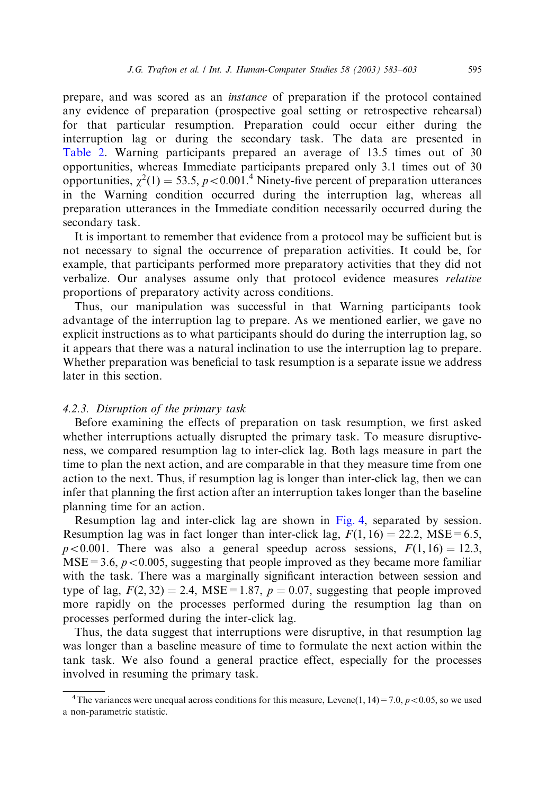prepare, and was scored as an instance of preparation if the protocol contained any evidence of preparation (prospective goal setting or retrospective rehearsal) [for that](#page-11-0) particular resumption. Preparation could occur either during the interruption lag or during the secondary task. The data are presented in Table 2. Warning participants prepared an average of 13.5 times out of 30 opportunities, whereas Immediate participants prepared only 3.1 times out of 30 opportunities,  $\chi^2(1) = 53.5$ ,  $p < 0.001$ .<sup>4</sup> Ninety-five percent of preparation utterances in the Warning condition occurred during the interruption lag, whereas all preparation utterances in the Immediate condition necessarily occurred during the secondary task.

It is important to remember that evidence from a protocol may be sufficient but is not necessary to signal the occurrence of preparation activities. It could be, for example, that participants performed more preparatory activities that they did not verbalize. Our analyses assume only that protocol evidence measures relative proportions of preparatory activity across conditions.

Thus, our manipulation was successful in that Warning participants took advantage of the interruption lag to prepare. As we mentioned earlier, we gave no explicit instructions as to what participants should do during the interruption lag, so it appears that there was a natural inclination to use the interruption lag to prepare. Whether preparation was beneficial to task resumption is a separate issue we address later in this section.

#### 4.2.3. Disruption of the primary task

Before examining the effects of preparation on task resumption, we first asked whether interruptions actually disrupted the primary task. To measure disruptiveness, we compared resumption lag to inter-click lag. Both lags measure in part the time to plan the next action, and are comparable in that they measure time from one action to the next. Thus, if resumption lag is longer than inter-click lag, then we can infer that planning the first action after an interruption [takes l](#page-13-0)onger than the baseline planning time for an action.

Resumption lag and inter-click lag are shown in Fig. 4, separated by session. Resumption lag was in fact longer than inter-click lag,  $F(1, 16) = 22.2$ , MSE=6.5,  $p < 0.001$ . There was also a general speedup across sessions,  $F(1, 16) = 12.3$ ,  $MSE = 3.6$ ,  $p < 0.005$ , suggesting that people improved as they became more familiar with the task. There was a marginally significant interaction between session and type of lag,  $F(2, 32) = 2.4$ , MSE = 1.87,  $p = 0.07$ , suggesting that people improved more rapidly on the processes performed during the resumption lag than on processes performed during the inter-click lag.

Thus, the data suggest that interruptions were disruptive, in that resumption lag was longer than a baseline measure of time to formulate the next action within the tank task. We also found a general practice effect, especially for the processes involved in resuming the primary task.

<sup>&</sup>lt;sup>4</sup>The variances were unequal across conditions for this measure, Levene(1, 14) = 7.0,  $p$  < 0.05, so we used a non-parametric statistic.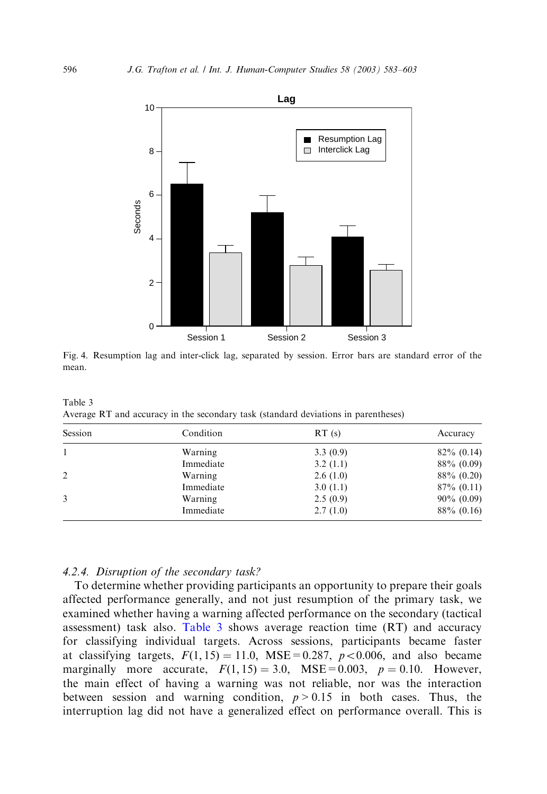

Fig. 4. Resumption lag and inter-click lag, separated by session. Error bars are standard error of the mean.

Table 3 Average RT and accuracy in the secondary task (standard deviations in parentheses)

| Session | Condition | RT(s)    | Accuracy      |
|---------|-----------|----------|---------------|
|         | Warning   | 3.3(0.9) | $82\% (0.14)$ |
|         | Immediate | 3.2(1.1) | $88\%$ (0.09) |
| 2       | Warning   | 2.6(1.0) | $88\%$ (0.20) |
|         | Immediate | 3.0(1.1) | $87\%$ (0.11) |
| 3       | Warning   | 2.5(0.9) | $90\% (0.09)$ |
|         | Immediate | 2.7(1.0) | $88\%$ (0.16) |

#### 4.2.4. Disruption of the secondary task?

To determine whether providing participants an opportunity to prepare their goals affected performance generally, and not just resumption of the primary task, we examined whether having a warning affected performance on the secondary (tactical assessment) task also. Table 3 shows average reaction time (RT) and accuracy for classifying individual targets. Across sessions, participants became faster at classifying targets,  $F(1, 15) = 11.0$ ,  $MSE = 0.287$ ,  $p < 0.006$ , and also became marginally more accurate,  $F(1, 15) = 3.0$ ,  $MSE = 0.003$ ,  $p = 0.10$ . However, the main effect of having a warning was not reliable, nor was the interaction between session and warning condition,  $p > 0.15$  in both cases. Thus, the interruption lag did not have a generalized effect on performance overall. This is

<span id="page-13-0"></span>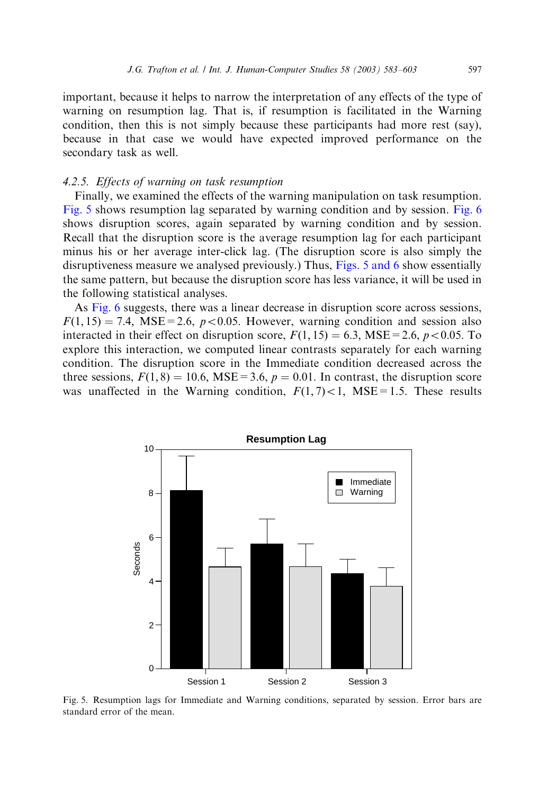<span id="page-14-0"></span>important, because it helps to narrow the interpretation of any effects of the type of warning on resumption lag. That is, if resumption is facilitated in the Warning condition, then this is not simply because these participants had more rest (say), because in that case we would have expected improved performance on the secondary task as well.

#### 4.2.5. Effects of warning on task resumption

Finally, we examined the effects of the warning manipulation on task resumption. Fig. 5 shows resumption lag separated by warning condition and by session. Fig. 6 shows disruption scores, again separated by warning condition and by session. Recall that the disruption score is the average resumption lag for each participant minus his or her average inter-click lag. (The disruption score is also simply the disruptiveness measure we analysed previously.) Thus, Figs. 5 and 6 show essentially the s[ame pa](#page-15-0)ttern, but because the disruption score has less variance, it will be used in the following statistical analyses.

As Fig. 6 suggests, there was a linear decrease in disruption score across sessions,  $F(1, 15) = 7.4$ , MSE = 2.6, p < 0.05. However, warning condition and session also interacted in their effect on disruption score,  $F(1, 15) = 6.3$ , MSE = 2.6, p < 0.05. To explore this interaction, we computed linear contrasts separately for each warning condition. The disruption score in the Immediate condition decreased across the three sessions,  $F(1, 8) = 10.6$ , MSE = 3.6,  $p = 0.01$ . In contrast, the disruption score was unaffected in the Warning condition,  $F(1,7) < 1$ , MSE = 1.5. These results



Fig. 5. Resumption lags for Immediate and Warning conditions, separated by session. Error bars are standard error of the mean.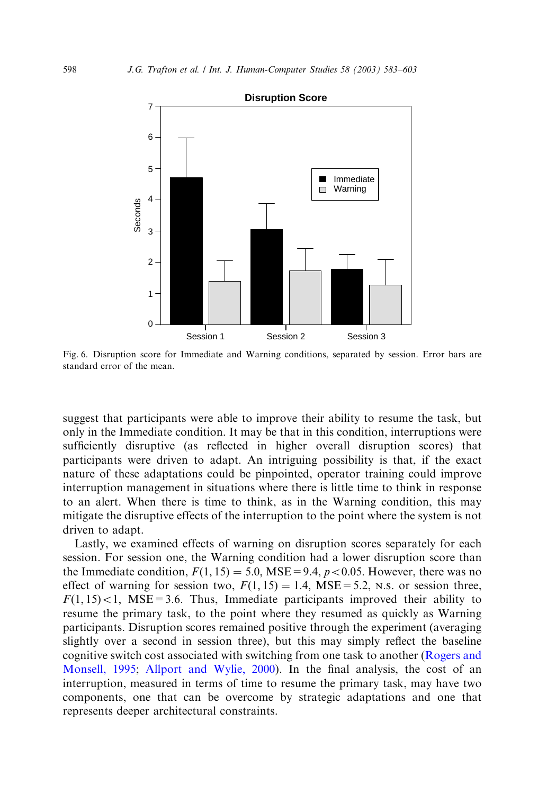<span id="page-15-0"></span>

Fig. 6. Disruption score for Immediate and Warning conditions, separated by session. Error bars are standard error of the mean.

suggest that participants were able to improve their ability to resume the task, but only in the Immediate condition. It may be that in this condition, interruptions were sufficiently disruptive (as reflected in higher overall disruption scores) that participants were driven to adapt. An intriguing possibility is that, if the exact nature of these adaptations could be pinpointed, operator training could improve interruption management in situations where there is little time to think in response to an alert. When there is time to think, as in the Warning condition, this may mitigate the disruptive effects of the interruption to the point where the system is not driven to adapt.

Lastly, we examined effects of warning on disruption scores separately for each session. For session one, the Warning condition had a lower disruption score than the Immediate condition,  $F(1, 15) = 5.0$ , MSE = 9.4,  $p < 0.05$ . However, there was no effect of warning for session two,  $F(1, 15) = 1.4$ , MSE = 5.2, n.s. or session three,  $F(1, 15)$  < 1, MSE = 3.6. Thus, Immediate participants improved their ability to resume the primary task, to the point where they resumed as quickly as Warning participants. Disruption scores remained positive through the experimen[t \(averaging](#page-19-0) [slightly over a](#page-19-0) [second in session three\), b](#page-18-0)ut this may simply reflect the baseline cognitive switch cost associated with switching from one task to another (Rogers and Monsell, 1995; Allport and Wylie, 2000). In the final analysis, the cost of an interruption, measured in terms of time to resume the primary task, may have two components, one that can be overcome by strategic adaptations and one that represents deeper architectural constraints.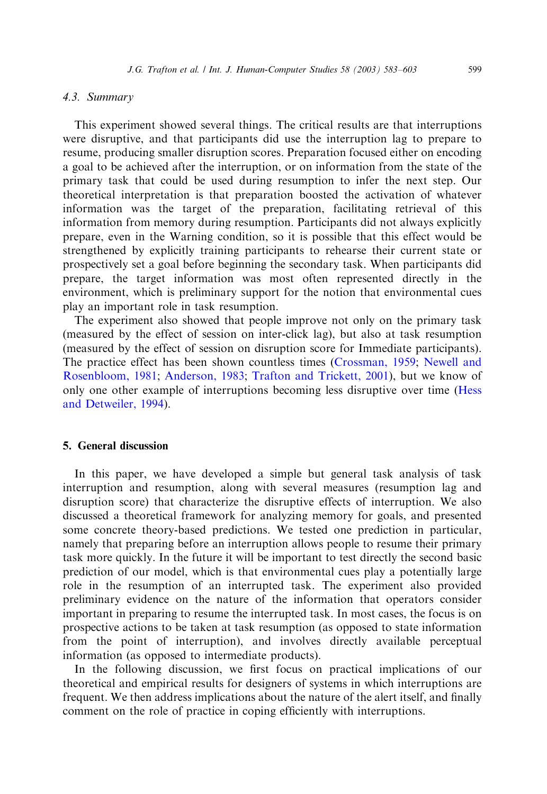#### 4.3. Summary

This experiment showed several things. The critical results are that interruptions were disruptive, and that participants did use the interruption lag to prepare to resume, producing smaller disruption scores. Preparation focused either on encoding a goal to be achieved after the interruption, or on information from the state of the primary task that could be used during resumption to infer the next step. Our theoretical interpretation is that preparation boosted the activation of whatever information was the target of the preparation, facilitating retrieval of this information from memory during resumption. Participants did not always explicitly prepare, even in the Warning condition, so it is possible that this effect would be strengthened by explicitly training participants to rehearse their current state or prospectively set a goal before beginning the secondary task. When participants did prepare, the target information was most often represented directly in the environment, which is preliminary support for the notion that environmental cues play an important role in task resumption.

The experiment also showed that people improve not only on the primary task (measured by the effect of session on inter-click lag)[, but also at task resumption](#page-19-0) [\(measured by the e](#page-19-0)f[fect of session o](#page-19-0)n [disruption score for Immed](#page-20-0)iate participants). The practice effect has been shown countless times (Crossman, 1959; Newel[l and](#page-19-0) [Rosenbloom, 1981;](#page-19-0) Anderson, 1983; Trafton and Trickett, 2001), but we know of only one other example of interruptions becoming less disruptive over time (Hess and Detweiler, 1994).

#### 5. General discussion

In this paper, we have developed a simple but general task analysis of task interruption and resumption, along with several measures (resumption lag and disruption score) that characterize the disruptive effects of interruption. We also discussed a theoretical framework for analyzing memory for goals, and presented some concrete theory-based predictions. We tested one prediction in particular, namely that preparing before an interruption allows people to resume their primary task more quickly. In the future it will be important to test directly the second basic prediction of our model, which is that environmental cues play a potentially large role in the resumption of an interrupted task. The experiment also provided preliminary evidence on the nature of the information that operators consider important in preparing to resume the interrupted task. In most cases, the focus is on prospective actions to be taken at task resumption (as opposed to state information from the point of interruption), and involves directly available perceptual information (as opposed to intermediate products).

In the following discussion, we first focus on practical implications of our theoretical and empirical results for designers of systems in which interruptions are frequent. We then address implications about the nature of the alert itself, and finally comment on the role of practice in coping efficiently with interruptions.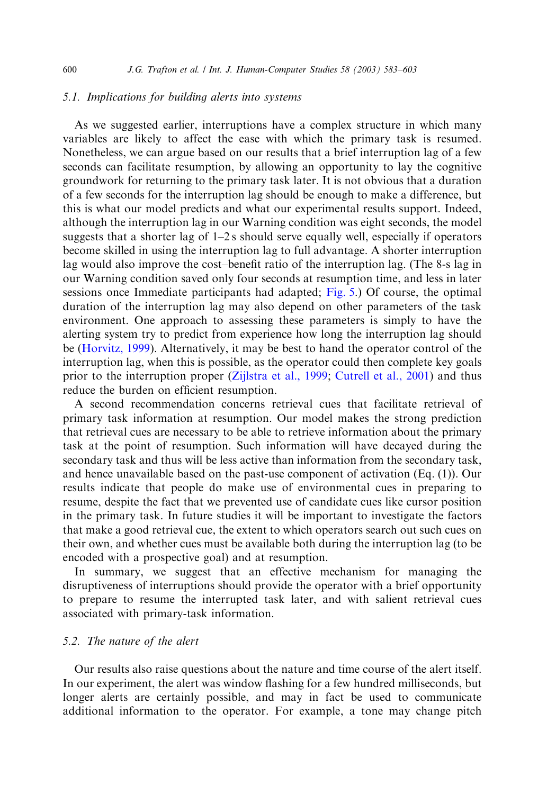#### 5.1. Implications for building alerts into systems

As we suggested earlier, interruptions have a complex structure in which many variables are likely to affect the ease with which the primary task is resumed. Nonetheless, we can argue based on our results that a brief interruption lag of a few seconds can facilitate resumption, by allowing an opportunity to lay the cognitive groundwork for returning to the primary task later. It is not obvious that a duration of a few seconds for the interruption lag should be enough to make a difference, but this is what our model predicts and what our experimental results support. Indeed, although the interruption lag in our Warning condition was eight seconds, the model suggests that a shorter lag of 1–2 s should serve equally well, especially if operators become skilled in using the interruption lag to full advantage. A shorter interruption lag would also improve the cost–benefit ratio of the [interru](#page-14-0)ption lag. (The 8-s lag in our Warning condition saved only four seconds at resumption time, and less in later sessions once Immediate participants had adapted; Fig. 5.) Of course, the optimal duration of the interruption lag may also depend on other parameters of the task env[ironment. One](#page-19-0) approach to assessing these parameters is simply to have the alerting system try to predict from experience how long the interruption lag should be (Horvitz, 1999). Alternatively, [it may be best to ha](#page-20-0)[nd the operator con](#page-19-0)trol of the interruption lag, when this is possible, as the operator could then complete key goals prior to the interruption proper (Zijlstra et al., 1999; Cutrell et al., 2001) and thus reduce the burden on efficient resumption.

A second recommendation concerns retrieval cues that facilitate retrieval of primary task information at resumption. Our model makes the strong prediction that retrieval cues are necessary to be able to retrieve information about the primary task at the point of resumption. Such information will have decayed during the secondary task and thus will be less active than information from the secondary task, and hence unavailable based on the past-use component of activation (Eq. (1)). Our results indicate that people do make use of environmental cues in preparing to resume, despite the fact that we prevented use of candidate cues like cursor position in the primary task. In future studies it will be important to investigate the factors that make a good retrieval cue, the extent to which operators search out such cues on their own, and whether cues must be available both during the interruption lag (to be encoded with a prospective goal) and at resumption.

In summary, we suggest that an effective mechanism for managing the disruptiveness of interruptions should provide the operator with a brief opportunity to prepare to resume the interrupted task later, and with salient retrieval cues associated with primary-task information.

#### 5.2. The nature of the alert

Our results also raise questions about the nature and time course of the alert itself. In our experiment, the alert was window flashing for a few hundred milliseconds, but longer alerts are certainly possible, and may in fact be used to communicate additional information to the operator. For example, a tone may change pitch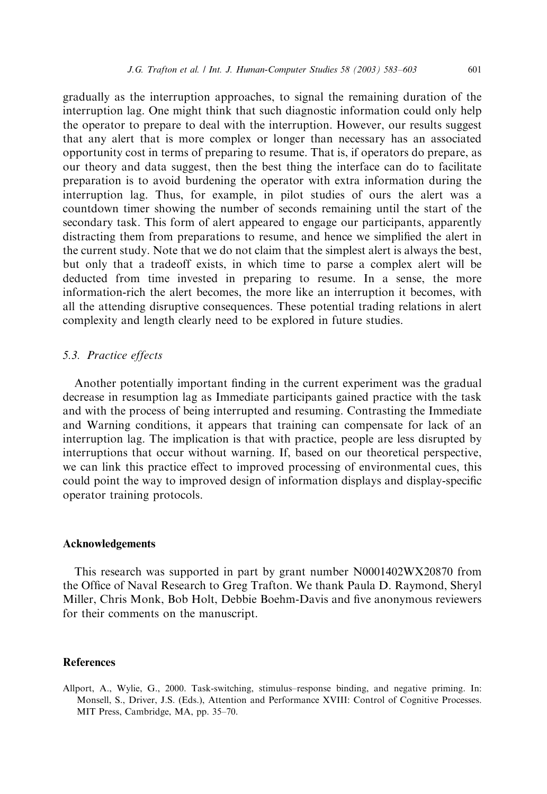<span id="page-18-0"></span>gradually as the interruption approaches, to signal the remaining duration of the interruption lag. One might think that such diagnostic information could only help the operator to prepare to deal with the interruption. However, our results suggest that any alert that is more complex or longer than necessary has an associated opportunity cost in terms of preparing to resume. That is, if operators do prepare, as our theory and data suggest, then the best thing the interface can do to facilitate preparation is to avoid burdening the operator with extra information during the interruption lag. Thus, for example, in pilot studies of ours the alert was a countdown timer showing the number of seconds remaining until the start of the secondary task. This form of alert appeared to engage our participants, apparently distracting them from preparations to resume, and hence we simplified the alert in the current study. Note that we do not claim that the simplest alert is always the best, but only that a tradeoff exists, in which time to parse a complex alert will be deducted from time invested in preparing to resume. In a sense, the more information-rich the alert becomes, the more like an interruption it becomes, with all the attending disruptive consequences. These potential trading relations in alert complexity and length clearly need to be explored in future studies.

#### 5.3. Practice effects

Another potentially important finding in the current experiment was the gradual decrease in resumption lag as Immediate participants gained practice with the task and with the process of being interrupted and resuming. Contrasting the Immediate and Warning conditions, it appears that training can compensate for lack of an interruption lag. The implication is that with practice, people are less disrupted by interruptions that occur without warning. If, based on our theoretical perspective, we can link this practice effect to improved processing of environmental cues, this could point the way to improved design of information displays and display-specific operator training protocols.

#### Acknowledgements

This research was supported in part by grant number N0001402WX20870 from the Office of Naval Research to Greg Trafton. We thank Paula D. Raymond, Sheryl Miller, Chris Monk, Bob Holt, Debbie Boehm-Davis and five anonymous reviewers for their comments on the manuscript.

#### References

Allport, A., Wylie, G., 2000. Task-switching, stimulus–response binding, and negative priming. In: Monsell, S., Driver, J.S. (Eds.), Attention and Performance XVIII: Control of Cognitive Processes. MIT Press, Cambridge, MA, pp. 35–70.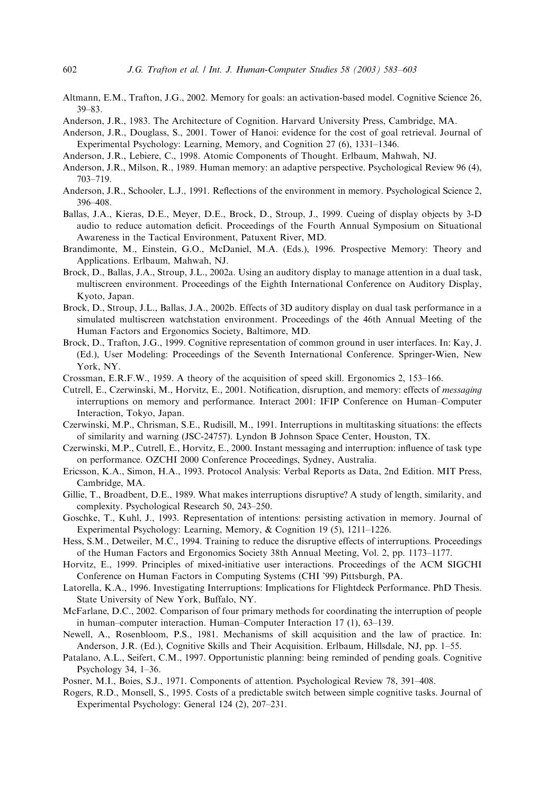- <span id="page-19-0"></span>Altmann, E.M., Trafton, J.G., 2002. Memory for goals:an activation-based model. Cognitive Science 26, 39–83.
- Anderson, J.R., 1983. The Architecture of Cognition. Harvard University Press, Cambridge, MA.
- Anderson, J.R., Douglass, S., 2001. Tower of Hanoi: evidence for the cost of goal retrieval. Journal of Experimental Psychology: Learning, Memory, and Cognition 27 (6), 1331–1346.
- Anderson, J.R., Lebiere, C., 1998. Atomic Components of Thought. Erlbaum, Mahwah, NJ.
- Anderson, J.R., Milson, R., 1989. Human memory: an adaptive perspective. Psychological Review 96 (4), 703–719.
- Anderson, J.R., Schooler, L.J., 1991. Reflections of the environment in memory. Psychological Science 2, 396–408.
- Ballas, J.A., Kieras, D.E., Meyer, D.E., Brock, D., Stroup, J., 1999. Cueing of display objects by 3-D audio to reduce automation deficit. Proceedings of the Fourth Annual Symposium on Situational Awareness in the Tactical Environment, Patuxent River, MD.
- Brandimonte, M., Einstein, G.O., McDaniel, M.A. (Eds.), 1996. Prospective Memory: Theory and Applications. Erlbaum, Mahwah, NJ.
- Brock, D., Ballas, J.A., Stroup, J.L., 2002a. Using an auditory display to manage attention in a dual task, multiscreen environment. Proceedings of the Eighth International Conference on Auditory Display, Kyoto, Japan.
- Brock, D., Stroup, J.L., Ballas, J.A., 2002b. Effects of 3D auditory display on dual task performance in a simulated multiscreen watchstation environment. Proceedings of the 46th Annual Meeting of the Human Factors and Ergonomics Society, Baltimore, MD.
- Brock, D., Trafton, J.G., 1999. Cognitive representation of common ground in user interfaces. In: Kay, J. (Ed.), User Modeling: Proceedings of the Seventh International Conference. Springer-Wien, New York, NY.
- Crossman, E.R.F.W., 1959. A theory of the acquisition of speed skill. Ergonomics 2, 153–166.
- Cutrell, E., Czerwinski, M., Horvitz, E., 2001. Notification, disruption, and memory:effects of messaging interruptions on memory and performance. Interact 2001: IFIP Conference on Human–Computer Interaction, Tokyo, Japan.
- Czerwinski, M.P., Chrisman, S.E., Rudisill, M., 1991. Interruptions in multitasking situations: the effects of similarity and warning (JSC-24757). Lyndon B Johnson Space Center, Houston, TX.
- Czerwinski, M.P., Cutrell, E., Horvitz, E., 2000. Instant messaging and interruption:influence of task type on performance. OZCHI 2000 Conference Proceedings, Sydney, Australia.
- Ericsson, K.A., Simon, H.A., 1993. Protocol Analysis: Verbal Reports as Data, 2nd Edition. MIT Press, Cambridge, MA.
- Gillie, T., Broadbent, D.E., 1989. What makes interruptions disruptive? A study of length, similarity, and complexity. Psychological Research 50, 243–250.
- Goschke, T., Kuhl, J., 1993. Representation of intentions: persisting activation in memory. Journal of Experimental Psychology: Learning, Memory, & Cognition 19 (5), 1211–1226.
- Hess, S.M., Detweiler, M.C., 1994. Training to reduce the disruptive effects of interruptions. Proceedings of the Human Factors and Ergonomics Society 38th Annual Meeting, Vol. 2, pp. 1173–1177.
- Horvitz, E., 1999. Principles of mixed-initiative user interactions. Proceedings of the ACM SIGCHI Conference on Human Factors in Computing Systems (CHI '99) Pittsburgh, PA.
- Latorella, K.A., 1996. Investigating Interruptions: Implications for Flightdeck Performance. PhD Thesis. State University of New York, Buffalo, NY.
- McFarlane, D.C., 2002. Comparison of four primary methods for coordinating the interruption of people in human–computer interaction. Human–Computer Interaction 17 (1), 63–139.
- Newell, A., Rosenbloom, P.S., 1981. Mechanisms of skill acquisition and the law of practice. In: Anderson, J.R. (Ed.), Cognitive Skills and Their Acquisition. Erlbaum, Hillsdale, NJ, pp. 1–55.
- Patalano, A.L., Seifert, C.M., 1997. Opportunistic planning: being reminded of pending goals. Cognitive Psychology 34, 1–36.
- Posner, M.I., Boies, S.J., 1971. Components of attention. Psychological Review 78, 391–408.
- Rogers, R.D., Monsell, S., 1995. Costs of a predictable switch between simple cognitive tasks. Journal of Experimental Psychology:General 124 (2), 207–231.